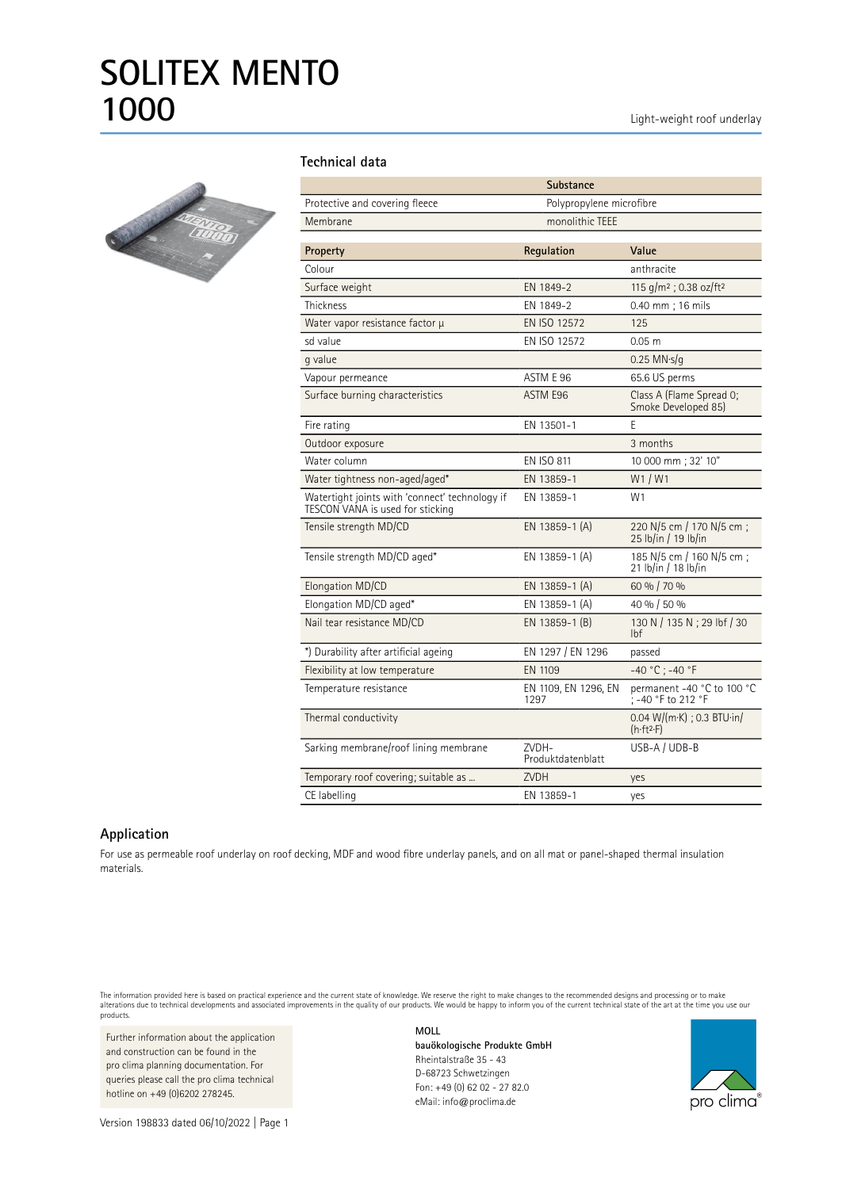

## **Technical data**

|                                                                                    | Substance                    |                                                  |
|------------------------------------------------------------------------------------|------------------------------|--------------------------------------------------|
| Protective and covering fleece                                                     | Polypropylene microfibre     |                                                  |
| Membrane                                                                           | monolithic TEEE              |                                                  |
|                                                                                    |                              |                                                  |
| Property                                                                           | Regulation                   | Value                                            |
| Colour                                                                             |                              | anthracite                                       |
| Surface weight                                                                     | EN 1849-2                    | 115 g/m <sup>2</sup> ; 0.38 oz/ft <sup>2</sup>   |
| <b>Thickness</b>                                                                   | EN 1849-2                    | 0.40 mm; 16 mils                                 |
| Water vapor resistance factor µ                                                    | EN ISO 12572                 | 125                                              |
| sd value                                                                           | EN ISO 12572                 | $0.05$ m                                         |
| g value                                                                            |                              | $0.25$ MN $\cdot$ s/g                            |
| Vapour permeance                                                                   | ASTM E 96                    | 65.6 US perms                                    |
| Surface burning characteristics                                                    | ASTM E96                     | Class A (Flame Spread O;<br>Smoke Developed 85)  |
| Fire rating                                                                        | EN 13501-1                   | E                                                |
| Outdoor exposure                                                                   |                              | 3 months                                         |
| Water column                                                                       | <b>EN ISO 811</b>            | 10 000 mm; 32' 10"                               |
| Water tightness non-aged/aged*                                                     | EN 13859-1                   | W1/W1                                            |
| Watertight joints with 'connect' technology if<br>TESCON VANA is used for sticking | EN 13859-1                   | W <sub>1</sub>                                   |
| Tensile strength MD/CD                                                             | EN 13859-1 (A)               | 220 N/5 cm / 170 N/5 cm;<br>25 lb/in / 19 lb/in  |
| Tensile strength MD/CD aged*                                                       | EN 13859-1 (A)               | 185 N/5 cm / 160 N/5 cm :<br>21 lb/in / 18 lb/in |
| Elongation MD/CD                                                                   | EN 13859-1 (A)               | 60 % / 70 %                                      |
| Elongation MD/CD aged*                                                             | EN 13859-1 (A)               | 40 % / 50 %                                      |
| Nail tear resistance MD/CD                                                         | EN 13859-1 (B)               | 130 N / 135 N ; 29 lbf / 30<br>lbf               |
| *) Durability after artificial ageing                                              | EN 1297 / EN 1296            | passed                                           |
| Flexibility at low temperature                                                     | EN 1109                      | $-40 °C$ ; $-40 °F$                              |
| Temperature resistance                                                             | EN 1109, EN 1296, EN<br>1297 | permanent -40 °C to 100 °C<br>; -40 °F to 212 °F |
| Thermal conductivity                                                               |                              | $0.04$ W/(m·K) ; 0.3 BTU·in/<br>(h·ft²·F)        |
| Sarking membrane/roof lining membrane                                              | ZVDH-<br>Produktdatenblatt   | USB-A / UDB-B                                    |
| Temporary roof covering; suitable as                                               | <b>ZVDH</b>                  | yes                                              |
| CE labelling                                                                       | EN 13859-1                   | yes                                              |

## **Application**

For use as permeable roof underlay on roof decking, MDF and wood fibre underlay panels, and on all mat or panel-shaped thermal insulation materials.

The information provided here is based on practical experience and the current state of knowledge. We reserve the right to make changes to the recommended designs and processing or to make<br>alterations due to technical deve products.

Further information about the application and construction can be found in the pro clima planning documentation. For queries please call the pro clima technical hotline on +49 (0)6202 278245.

Version 198833 dated 06/10/2022 | Page 1

**MOLL bauökologische Produkte GmbH** Rheintalstraße 35 - 43 D-68723 Schwetzingen Fon: +49 (0) 62 02 - 27 82.0 eMail: info@proclima.de